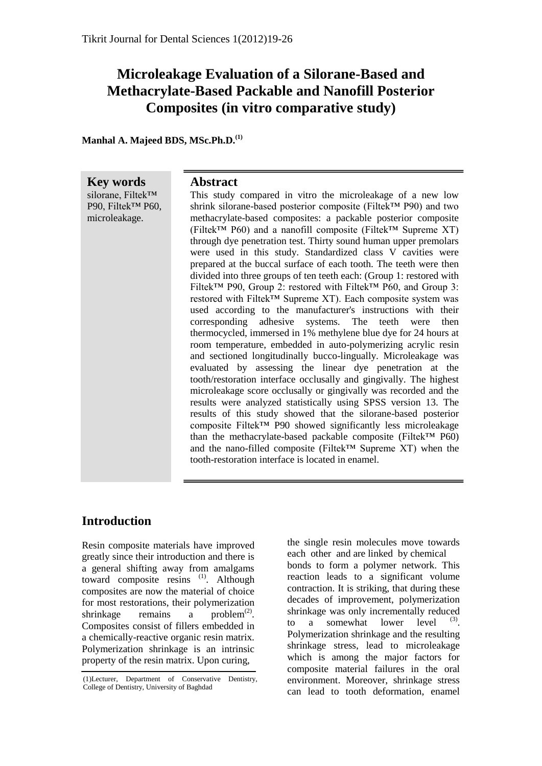## **Microleakage Evaluation of a Silorane-Based and Methacrylate-Based Packable and Nanofill Posterior Composites (in vitro comparative study)**

**Manhal A. Majeed BDS, MSc.Ph.D.(1)** 

**Key words** silorane, Filtek™ P<sub>90</sub>, Filtek<sup>™</sup> P<sub>60</sub>, microleakage. **Abstract** This study compared in vitro the microleakage of a new low shrink silorane-based posterior composite (Filtek™ P90) and two methacrylate-based composites: a packable posterior composite (Filtek™ P60) and a nanofill composite (Filtek™ Supreme XT) through dye penetration test. Thirty sound human upper premolars were used in this study. Standardized class V cavities were prepared at the buccal surface of each tooth. The teeth were then divided into three groups of ten teeth each: (Group 1: restored with Filtek™ P90, Group 2: restored with Filtek™ P60, and Group 3: restored with Filtek™ Supreme XT). Each composite system was used according to the manufacturer's instructions with their corresponding adhesive systems. The teeth were then thermocycled, immersed in 1% methylene blue dye for 24 hours at room temperature, embedded in auto-polymerizing acrylic resin and sectioned longitudinally bucco-lingually. Microleakage was evaluated by assessing the linear dye penetration at the tooth/restoration interface occlusally and gingivally. The highest microleakage score occlusally or gingivally was recorded and the results were analyzed statistically using SPSS version 13. The results of this study showed that the silorane-based posterior composite Filtek™ P90 showed significantly less microleakage than the methacrylate-based packable composite (Filtek™ P60) and the nano-filled composite (Filtek™ Supreme XT) when the tooth-restoration interface is located in enamel.

## **Introduction**

Resin composite materials have improved greatly since their introduction and there is a general shifting away from amalgams toward composite resins <sup>(1)</sup>. Although composites are now the material of choice for most restorations, their polymerization shrinkage remains a problem<sup>(2)</sup>. Composites consist of fillers embedded in a chemically-reactive organic resin matrix. Polymerization shrinkage is an intrinsic property of the resin matrix. Upon curing,

the single resin molecules move towards each other and are linked by chemical bonds to form a polymer network. This reaction leads to a significant volume contraction. It is striking, that during these decades of improvement, polymerization shrinkage was only incrementally reduced to a somewhat lower level  $(3)$ . Polymerization shrinkage and the resulting shrinkage stress, lead to microleakage which is among the major factors for composite material failures in the oral environment. Moreover, shrinkage stress can lead to tooth deformation, enamel

<sup>(1)</sup>Lecturer, Department of Conservative Dentistry, College of Dentistry, University of Baghdad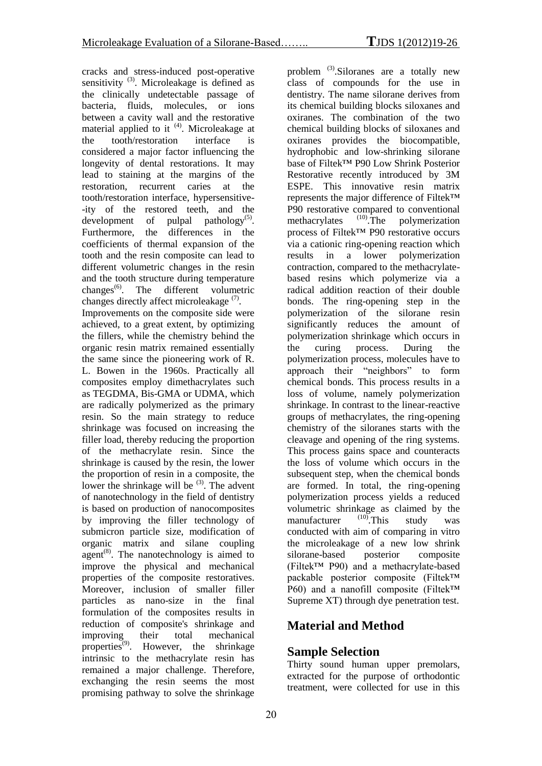cracks and stress-induced post-operative sensitivity  $(3)$ . Microleakage is defined as the clinically undetectable passage of bacteria, fluids, molecules, or ions between a cavity wall and the restorative material applied to it <sup>(4)</sup>. Microleakage at the tooth/restoration interface is considered a major factor influencing the longevity of dental restorations. It may lead to staining at the margins of the restoration, recurrent caries at the tooth/restoration interface, hypersensitive- -ity of the restored teeth, and the development of pulpal pathology<sup>(5)</sup>. Furthermore, the differences in the coefficients of thermal expansion of the tooth and the resin composite can lead to different volumetric changes in the resin and the tooth structure during temperature changes<sup>(6)</sup>. The different volumetric changes directly affect microleakage  $(7)$ . Improvements on the composite side were achieved, to a great extent, by optimizing the fillers, while the chemistry behind the organic resin matrix remained essentially the same since the pioneering work of R. L. Bowen in the 1960s. Practically all composites employ dimethacrylates such as TEGDMA, Bis-GMA or UDMA, which are radically polymerized as the primary resin. So the main strategy to reduce shrinkage was focused on increasing the filler load, thereby reducing the proportion of the methacrylate resin. Since the shrinkage is caused by the resin, the lower the proportion of resin in a composite, the lower the shrinkage will be  $(3)$ . The advent of nanotechnology in the field of dentistry is based on production of nanocomposites by improving the filler technology of submicron particle size, modification of organic matrix and silane coupling agent<sup>(8)</sup>. The nanotechnology is aimed to improve the physical and mechanical properties of the composite restoratives. Moreover, inclusion of smaller filler particles as nano-size in the final formulation of the composites results in reduction of composite's shrinkage and improving their total mechanical properties<sup> $(9)$ </sup>. However, the shrinkage intrinsic to the methacrylate resin has remained a major challenge. Therefore, exchanging the resin seems the most promising pathway to solve the shrinkage

problem (3).Siloranes are a totally new class of compounds for the use in dentistry. The name silorane derives from its chemical building blocks siloxanes and oxiranes. The combination of the two chemical building blocks of siloxanes and oxiranes provides the biocompatible, hydrophobic and low-shrinking silorane base of Filtek™ P90 Low Shrink Posterior Restorative recently introduced by 3M ESPE. This innovative resin matrix represents the major difference of Filtek™ P90 restorative compared to conventional methacrylates (10). The polymerization process of Filtek™ P90 restorative occurs via a cationic ring-opening reaction which results in a lower polymerization contraction, compared to the methacrylatebased resins which polymerize via a radical addition reaction of their double bonds. The ring-opening step in the polymerization of the silorane resin significantly reduces the amount of polymerization shrinkage which occurs in the curing process. During the polymerization process, molecules have to approach their "neighbors" to form chemical bonds. This process results in a loss of volume, namely polymerization shrinkage. In contrast to the linear-reactive groups of methacrylates, the ring-opening chemistry of the siloranes starts with the cleavage and opening of the ring systems. This process gains space and counteracts the loss of volume which occurs in the subsequent step, when the chemical bonds are formed. In total, the ring-opening polymerization process yields a reduced volumetric shrinkage as claimed by the<br>manufacturer  $^{(10)}$ . This study was manufacturer  $^{(10)}$ . This study was conducted with aim of comparing in vitro the microleakage of a new low shrink silorane-based posterior composite (Filtek™ P90) and a methacrylate-based packable posterior composite (Filtek™ P60) and a nanofill composite (Filtek™ Supreme XT) through dye penetration test.

## **Material and Method**

#### **Sample Selection**

Thirty sound human upper premolars, extracted for the purpose of orthodontic treatment, were collected for use in this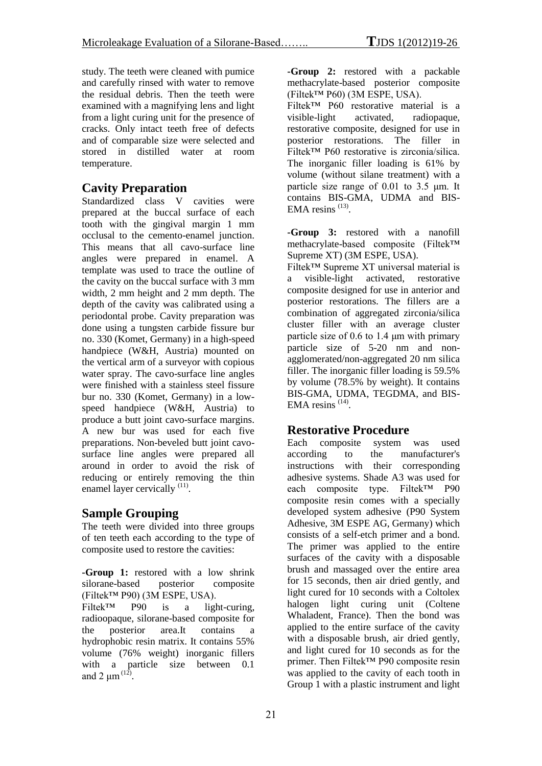study. The teeth were cleaned with pumice and carefully rinsed with water to remove the residual debris. Then the teeth were examined with a magnifying lens and light from a light curing unit for the presence of cracks. Only intact teeth free of defects and of comparable size were selected and stored in distilled water at room temperature.

#### **Cavity Preparation**

Standardized class V cavities were prepared at the buccal surface of each tooth with the gingival margin 1 mm occlusal to the cemento-enamel junction. This means that all cavo-surface line angles were prepared in enamel. A template was used to trace the outline of the cavity on the buccal surface with 3 mm width, 2 mm height and 2 mm depth. The depth of the cavity was calibrated using a periodontal probe. Cavity preparation was done using a tungsten carbide fissure bur no. 330 (Komet, Germany) in a high-speed handpiece (W&H, Austria) mounted on the vertical arm of a surveyor with copious water spray. The cavo-surface line angles were finished with a stainless steel fissure bur no. 330 (Komet, Germany) in a lowspeed handpiece (W&H, Austria) to produce a butt joint cavo-surface margins. A new bur was used for each five preparations. Non-beveled butt joint cavosurface line angles were prepared all around in order to avoid the risk of reducing or entirely removing the thin enamel layer cervically<sup>(11)</sup>.

#### **Sample Grouping**

The teeth were divided into three groups of ten teeth each according to the type of composite used to restore the cavities:

**-Group 1:** restored with a low shrink silorane-based posterior composite (Filtek™ P90) (3M ESPE, USA). Filtek™ P90 is a light-curing, radioopaque, silorane-based composite for the posterior area.It contains a hydrophobic resin matrix. It contains 55% volume (76% weight) inorganic fillers with a particle size between 0.1 and 2  $\mu$ m<sup>(12)</sup>.

**-Group 2:** restored with a packable methacrylate-based posterior composite (Filtek™ P60) (3M ESPE, USA).

Filtek™ P60 restorative material is a visible-light activated, radiopaque, restorative composite, designed for use in posterior restorations. The filler in Filtek™ P60 restorative is zirconia/silica. The inorganic filler loading is 61% by volume (without silane treatment) with a particle size range of 0.01 to 3.5 μm. It contains BIS-GMA, UDMA and BIS-EMA resins  $^{(13)}$ .

**-Group 3:** restored with a nanofill methacrylate-based composite (Filtek™ Supreme XT) (3M ESPE, USA).

Filtek™ Supreme XT universal material is a visible-light activated, restorative composite designed for use in anterior and posterior restorations. The fillers are a combination of aggregated zirconia/silica cluster filler with an average cluster particle size of 0.6 to 1.4 μm with primary particle size of 5-20 nm and nonagglomerated/non-aggregated 20 nm silica filler. The inorganic filler loading is 59.5% by volume (78.5% by weight). It contains BIS-GMA, UDMA, TEGDMA, and BIS-EMA resins  $(14)$ .

#### **Restorative Procedure**

Each composite system was used according to the manufacturer's instructions with their corresponding adhesive systems. Shade A3 was used for each composite type. Filtek™ P90 composite resin comes with a specially developed system adhesive (P90 System Adhesive, 3M ESPE AG, Germany) which consists of a self-etch primer and a bond. The primer was applied to the entire surfaces of the cavity with a disposable brush and massaged over the entire area for 15 seconds, then air dried gently, and light cured for 10 seconds with a Coltolex halogen light curing unit (Coltene Whaladent, France). Then the bond was applied to the entire surface of the cavity with a disposable brush, air dried gently, and light cured for 10 seconds as for the primer. Then Filtek™ P90 composite resin was applied to the cavity of each tooth in Group 1 with a plastic instrument and light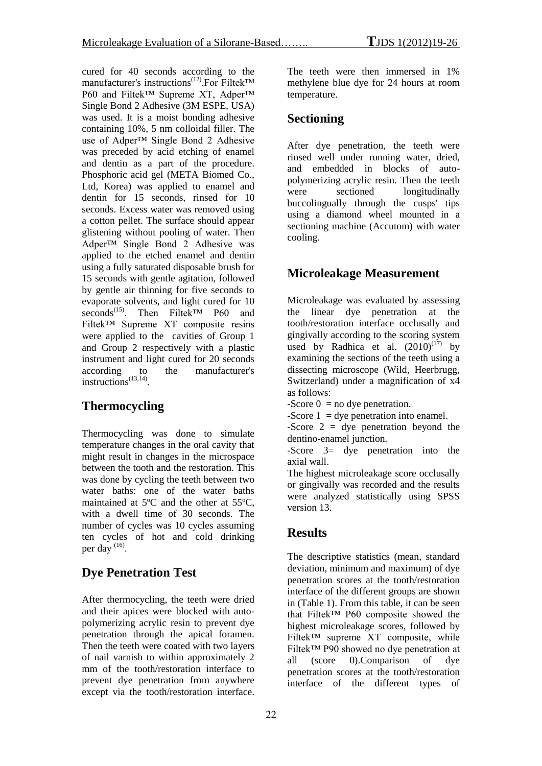cured for 40 seconds according to the manufacturer's instructions<sup>(12)</sup>.For Filtek<sup>™</sup> P60 and Filtek<sup>™</sup> Supreme XT, Adper<sup>™</sup> Single Bond 2 Adhesive (3M ESPE, USA) was used. It is a moist bonding adhesive containing 10%, 5 nm colloidal filler. The use of Adper™ Single Bond 2 Adhesive was preceded by acid etching of enamel and dentin as a part of the procedure. Phosphoric acid gel (META Biomed Co., Ltd, Korea) was applied to enamel and dentin for 15 seconds, rinsed for 10 seconds. Excess water was removed using a cotton pellet. The surface should appear glistening without pooling of water. Then Adper™ Single Bond 2 Adhesive was applied to the etched enamel and dentin using a fully saturated disposable brush for 15 seconds with gentle agitation, followed by gentle air thinning for five seconds to evaporate solvents, and light cured for 10 seconds<sup>(15)</sup>. Then Filtek<sup>™</sup> P60 and Filtek™ Supreme XT composite resins were applied to the cavities of Group 1 and Group 2 respectively with a plastic instrument and light cured for 20 seconds according to the manufacturer's instructions<sup> $(13,14)$ </sup>.

## **Thermocycling**

Thermocycling was done to simulate temperature changes in the oral cavity that might result in changes in the microspace between the tooth and the restoration. This was done by cycling the teeth between two water baths: one of the water baths maintained at 5ºC and the other at 55ºC, with a dwell time of 30 seconds. The number of cycles was 10 cycles assuming ten cycles of hot and cold drinking per day  $^{(16)}$ .

## **Dye Penetration Test**

After thermocycling, the teeth were dried and their apices were blocked with autopolymerizing acrylic resin to prevent dye penetration through the apical foramen. Then the teeth were coated with two layers of nail varnish to within approximately 2 mm of the tooth/restoration interface to prevent dye penetration from anywhere except via the tooth/restoration interface.

The teeth were then immersed in 1% methylene blue dye for 24 hours at room temperature.

#### **Sectioning**

After dye penetration, the teeth were rinsed well under running water, dried, and embedded in blocks of autopolymerizing acrylic resin. Then the teeth were sectioned longitudinally buccolingually through the cusps' tips using a diamond wheel mounted in a sectioning machine (Accutom) with water cooling.

## **Microleakage Measurement**

Microleakage was evaluated by assessing the linear dye penetration at the tooth/restoration interface occlusally and gingivally according to the scoring system used by Radhica et al.  $(2010)^{(17)}$  by examining the sections of the teeth using a dissecting microscope (Wild, Heerbrugg, Switzerland) under a magnification of x4 as follows:

-Score  $0 =$  no dye penetration.

-Score  $1 =$  dye penetration into enamel.

-Score  $2 =$  dye penetration beyond the dentino-enamel junction.

-Score 3= dye penetration into the axial wall.

The highest microleakage score occlusally or gingivally was recorded and the results were analyzed statistically using SPSS version 13.

#### **Results**

The descriptive statistics (mean, standard deviation, minimum and maximum) of dye penetration scores at the tooth/restoration interface of the different groups are shown in (Table 1). From this table, it can be seen that Filtek™ P60 composite showed the highest microleakage scores, followed by Filtek™ supreme XT composite, while Filtek™ P90 showed no dye penetration at all (score 0).Comparison of dye penetration scores at the tooth/restoration interface of the different types of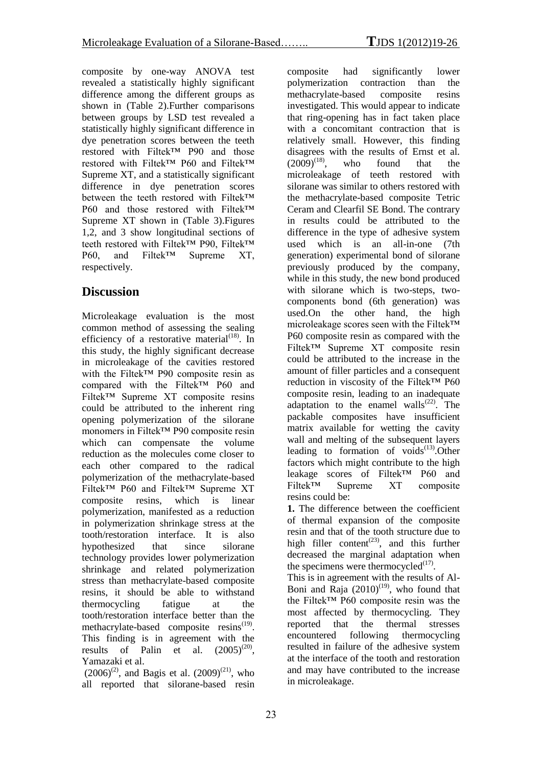composite by one-way ANOVA test revealed a statistically highly significant difference among the different groups as shown in (Table 2).Further comparisons between groups by LSD test revealed a statistically highly significant difference in dye penetration scores between the teeth restored with Filtek™ P90 and those restored with Filtek™ P60 and Filtek™ Supreme XT, and a statistically significant difference in dye penetration scores between the teeth restored with Filtek™ P60 and those restored with Filtek™ Supreme XT shown in (Table 3).Figures 1,2, and 3 show longitudinal sections of teeth restored with Filtek™ P90, Filtek™ P60, and Filtek™ Supreme XT respectively.

## **Discussion**

Microleakage evaluation is the most common method of assessing the sealing efficiency of a restorative material<sup> $(18)$ </sup>. In this study, the highly significant decrease in microleakage of the cavities restored with the Filtek<sup>™</sup> P90 composite resin as compared with the Filtek™ P60 and Filtek™ Supreme XT composite resins could be attributed to the inherent ring opening polymerization of the silorane monomers in Filtek™ P90 composite resin which can compensate the volume reduction as the molecules come closer to each other compared to the radical polymerization of the methacrylate-based Filtek™ P60 and Filtek™ Supreme XT composite resins, which is linear polymerization, manifested as a reduction in polymerization shrinkage stress at the tooth/restoration interface. It is also hypothesized that since silorane technology provides lower polymerization shrinkage and related polymerization stress than methacrylate-based composite resins, it should be able to withstand thermocycling fatigue at the tooth/restoration interface better than the methacrylate-based composite resins<sup>(19)</sup>. This finding is in agreement with the results of Palin et al.  $(2005)^{(20)}$ , Yamazaki et al.

 $(2006)^{(2)}$ , and Bagis et al.  $(2009)^{(21)}$ , who all reported that silorane-based resin

composite had significantly lower polymerization contraction than the methacrylate-based composite resins investigated. This would appear to indicate that ring-opening has in fact taken place with a concomitant contraction that is relatively small. However, this finding disagrees with the results of Ernst et al.  $(2009)^{(18)}$ , who found that the microleakage of teeth restored with silorane was similar to others restored with the methacrylate-based composite Tetric Ceram and Clearfil SE Bond. The contrary in results could be attributed to the difference in the type of adhesive system used which is an all-in-one (7th generation) experimental bond of silorane previously produced by the company, while in this study, the new bond produced with silorane which is two-steps, twocomponents bond (6th generation) was used.On the other hand, the high microleakage scores seen with the Filtek™ P60 composite resin as compared with the Filtek™ Supreme XT composite resin could be attributed to the increase in the amount of filler particles and a consequent reduction in viscosity of the Filtek™ P60 composite resin, leading to an inadequate adaptation to the enamel walls $^{(22)}$ . The packable composites have insufficient matrix available for wetting the cavity wall and melting of the subsequent layers leading to formation of voids $^{(13)}$ . Other factors which might contribute to the high leakage scores of Filtek™ P60 and Filtek™ Supreme XT composite resins could be:

**1.** The difference between the coefficient of thermal expansion of the composite resin and that of the tooth structure due to high filler content<sup>(23)</sup>, and this further decreased the marginal adaptation when the specimens were thermocycled $(17)$ .

This is in agreement with the results of Al-Boni and Raja  $(2010)^{(19)}$ , who found that the Filtek™ P60 composite resin was the most affected by thermocycling. They reported that the thermal stresses encountered following thermocycling resulted in failure of the adhesive system at the interface of the tooth and restoration and may have contributed to the increase in microleakage.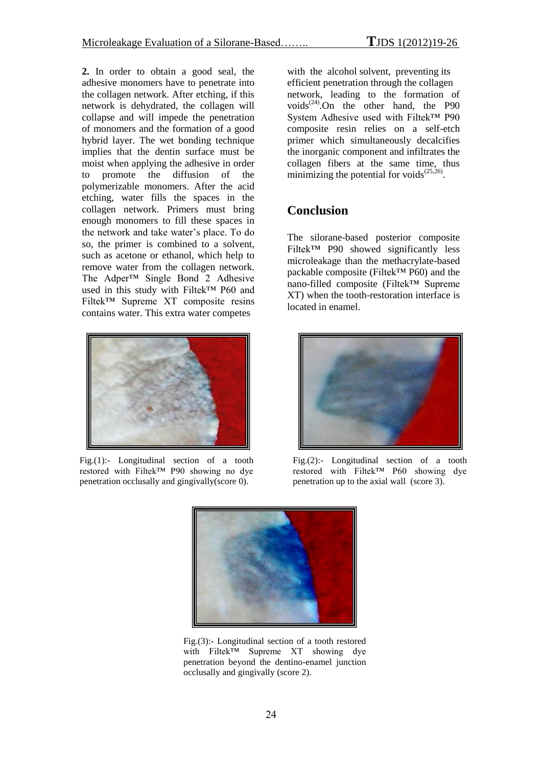**2.** In order to obtain a good seal, the adhesive monomers have to penetrate into the collagen network. After etching, if this network is dehydrated, the collagen will collapse and will impede the penetration of monomers and the formation of a good hybrid layer. The wet bonding technique implies that the dentin surface must be moist when applying the adhesive in order to promote the diffusion of the polymerizable monomers. After the acid etching, water fills the spaces in the collagen network. Primers must bring enough monomers to fill these spaces in the network and take water's place. To do so, the primer is combined to a solvent, such as acetone or ethanol, which help to remove water from the collagen network. The Adper™ Single Bond 2 Adhesive used in this study with Filtek™ P60 and Filtek™ Supreme XT composite resins contains water. This extra water competes



Fig.(1):- Longitudinal section of a tooth restored with Filtek™ P90 showing no dye penetration occlusally and gingivally(score 0).

with the alcohol solvent, preventing its efficient penetration through the collagen network, leading to the formation of voids $^{(24)}$ .On the other hand, the P90 System Adhesive used with Filtek™ P90 composite resin relies on a self-etch primer which simultaneously decalcifies the inorganic component and infiltrates the collagen fibers at the same time, thus minimizing the potential for voids $^{(25,26)}$ .

#### **Conclusion**

The silorane-based posterior composite Filtek™ P90 showed significantly less microleakage than the methacrylate-based packable composite (Filtek™ P60) and the nano-filled composite (Filtek™ Supreme XT) when the tooth-restoration interface is located in enamel.



Fig.(2):- Longitudinal section of a tooth restored with Filtek™ P60 showing dye penetration up to the axial wall (score 3).



Fig.(3):- Longitudinal section of a tooth restored with Filtek™ Supreme XT showing dye penetration beyond the dentino-enamel junction occlusally and gingivally (score 2).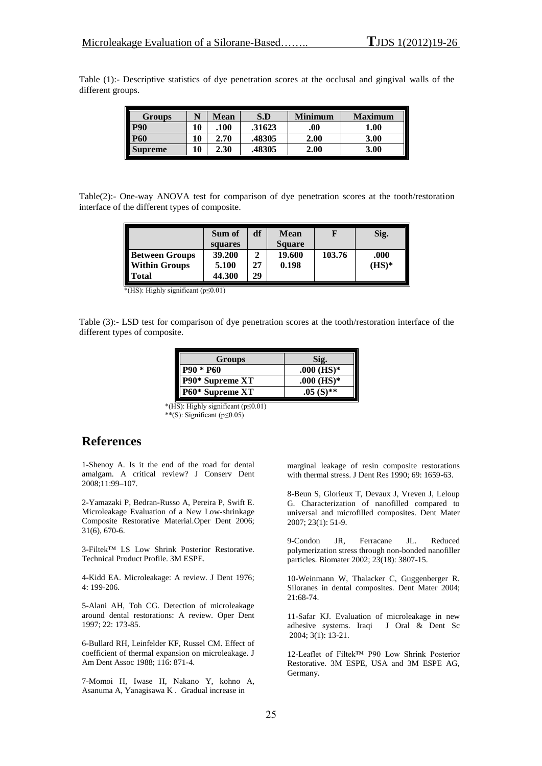Table (1):- Descriptive statistics of dye penetration scores at the occlusal and gingival walls of the different groups.

| <b>Groups</b>  |    | Mean | S.D    | <b>Minimum</b> | <b>Maximum</b> |
|----------------|----|------|--------|----------------|----------------|
| <b>P90</b>     | 10 | .100 | .31623 | .00.           | 1.00           |
| <b>P60</b>     | 10 | 2.70 | .48305 | 2.00           | 3.00           |
| <b>Supreme</b> | 10 | 2.30 | 48305  | 2.00           | 3.00           |

Table(2):- One-way ANOVA test for comparison of dye penetration scores at the tooth/restoration interface of the different types of composite.

|                                                   | Sum of<br>squares | df | <b>Mean</b><br><b>Square</b> |        | Sig.     |
|---------------------------------------------------|-------------------|----|------------------------------|--------|----------|
|                                                   | 39.200            |    | 19.600                       | 103.76 | .000     |
|                                                   | 5.100             | 27 | 0.198                        |        | $(HS)^*$ |
| <b>Between Groups<br/>Within Groups<br/>Total</b> | 44.300            | 29 |                              |        |          |

\*(HS): Highly significant (p≤0.01)

Table (3):- LSD test for comparison of dye penetration scores at the tooth/restoration interface of the different types of composite.

| Groups           | Sig.         |  |  |
|------------------|--------------|--|--|
| <b>P90 * P60</b> | $.000$ (HS)* |  |  |
| P90* Supreme XT  | $.000$ (HS)* |  |  |
| P60* Supreme XT  | $.05(S)**$   |  |  |

 \*(HS): Highly significant (p≤0.01) \*\*(S): Significant (p≤0.05)

# **References**

1-Shenoy A. Is it the end of the road for dental amalgam. A critical review? J Conserv Dent 2008;11:99–107.

2-Yamazaki P, Bedran-Russo A, Pereira P, Swift E. Microleakage Evaluation of a New Low-shrinkage Composite Restorative Material.Oper Dent 2006; 31(6), 670-6.

3-Filtek™ LS Low Shrink Posterior Restorative. Technical Product Profile. 3M ESPE.

4-Kidd EA. Microleakage: A review. J Dent 1976; 4: 199-206.

5-Alani AH, Toh CG. Detection of microleakage around dental restorations: A review. Oper Dent 1997; 22: 173-85.

6-Bullard RH, Leinfelder KF, Russel CM. Effect of coefficient of thermal expansion on microleakage. J Am Dent Assoc 1988; 116: 871-4.

7-Momoi H, Iwase H, Nakano Y, kohno A, Asanuma A, Yanagisawa K . Gradual increase in

marginal leakage of resin composite restorations with thermal stress. J Dent Res 1990; 69: 1659-63.

8-Beun S, Glorieux T, Devaux J, Vreven J, Leloup G. Characterization of nanofilled compared to universal and microfilled composites. Dent Mater 2007; 23(1): 51-9.

9-Condon JR, Ferracane JL. Reduced polymerization stress through non-bonded nanofiller particles. Biomater 2002; 23(18): 3807-15.

10-Weinmann W, Thalacker C, Guggenberger R. Siloranes in dental composites. Dent Mater 2004; 21:68-74.

11-Safar KJ. Evaluation of microleakage in new adhesive systems. Iraqi J Oral & Dent Sc adhesive systems. Iraqi 2004; 3(1): 13-21.

12-Leaflet of Filtek™ P90 Low Shrink Posterior Restorative. 3M ESPE, USA and 3M ESPE AG, Germany.